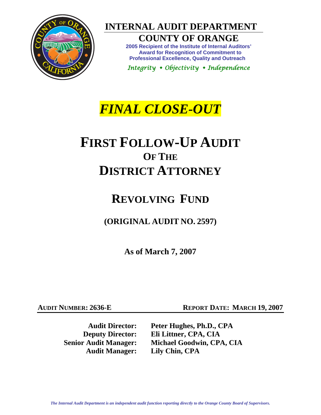

**INTERNAL AUDIT DEPARTMENT** 

### **COUNTY OF ORANGE**

**2005 Recipient of the Institute of Internal Auditors' Award for Recognition of Commitment to Professional Excellence, Quality and Outreach** 

*Integrity Objectivity Independence* 

## *FINAL CLOSE-OUT*

# **FIRST FOLLOW-UP AUDIT OF THE DISTRICT ATTORNEY**

## **REVOLVING FUND**

**(ORIGINAL AUDIT NO. 2597)** 

**As of March 7, 2007** 

**AUDIT NUMBER: 2636-E** REPORT DATE: MARCH 19, 2007

**Audit Manager: Lily Chin, CPA** 

**Audit Director: Peter Hughes, Ph.D., CPA Deputy Director: Eli Littner, CPA, CIA Senior Audit Manager: Michael Goodwin, CPA, CIA**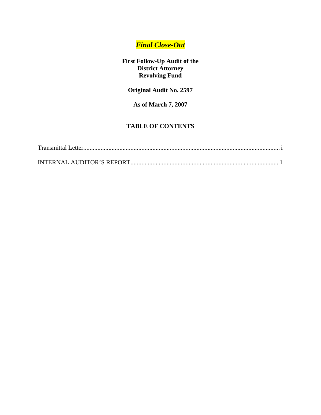### *Final Close-Out*

**First Follow-Up Audit of the District Attorney Revolving Fund** 

**Original Audit No. 2597** 

**As of March 7, 2007** 

### **TABLE OF CONTENTS**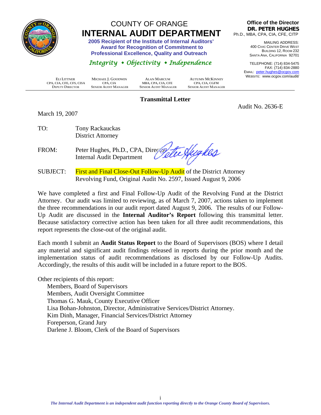<span id="page-2-0"></span>

## COUNTY OF ORANGE  **INTERNAL AUDIT DEPARTMENT 2005 Recipient of the Institute of Internal Auditors'**

 **Award for Recognition of Commitment to Professional Excellence, Quality and Outreach** 

### *Integrity Objectivity Independence*

**Office of the Director DR. PETER HUGHES** Ph.D., MBA, CPA, CIA, CFE, CITP

> MAILING ADDRESS: 400 CIVIC CENTER DRIVE WEST BUILDING 12, ROOM 232 SANTA ANA, CALIFORNIA 92701

TELEPHONE: (714) 834-5475 FAX: (714) 834-2880 EMAIL: peter.hughes@ocgov.com WEBSITE: www.ocgov.com/audit/

Audit No. 2636-E

 **ELI LITTNER MICHAEL J. GOODWIN ALAN MARCUM AUTUMN MCKINNEY CPA, CIA, CFE, CFS, CISA CPA, CIA CPA, CIA MBA, CPA, CIA, CFE CPA, CIA**, CGFM<br> **CPA, CIA CPA, CIA MBA, CPA, CIA, CFE CPA, CIA**, CGFM<br> **CPA, CIA CER DEPUTY DIRECTOR SENIOR AUDIT MANAGER SENIOR AUDIT MANAGER SENIOR AUDIT MANAGER**

#### **Transmittal Letter**

March 19, 2007

TO: Tony Rackauckas District Attorney

FROM: Peter Hughes, Ph.D., CPA, Directory Internal Audit Department

SUBJECT: First and Final Close-Out Follow-Up Audit of the District Attorney Revolving Fund, Original Audit No. 2597, Issued August 9, 2006

We have completed a first and Final Follow-Up Audit of the Revolving Fund at the District Attorney. Our audit was limited to reviewing, as of March 7, 2007, actions taken to implement the three recommendations in our audit report dated August 9, 2006. The results of our Follow-Up Audit are discussed in the **Internal Auditor's Report** following this transmittal letter. Because satisfactory corrective action has been taken for all three audit recommendations, this report represents the close-out of the original audit.

Each month I submit an **Audit Status Report** to the Board of Supervisors (BOS) where I detail any material and significant audit findings released in reports during the prior month and the implementation status of audit recommendations as disclosed by our Follow-Up Audits. Accordingly, the results of this audit will be included in a future report to the BOS.

Other recipients of this report: Members, Board of Supervisors Members, Audit Oversight Committee Thomas G. Mauk, County Executive Officer Lisa Bohan-Johnston, Director, Administrative Services/District Attorney. Kim Dinh, Manager, Financial Services/District Attorney Foreperson, Grand Jury

Darlene J. Bloom, Clerk of the Board of Supervisors